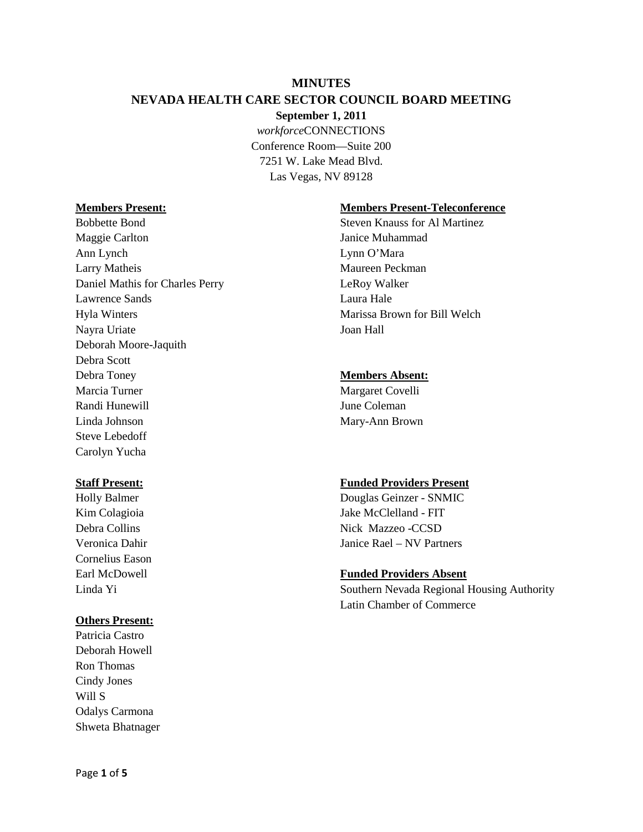## **MINUTES**

## **NEVADA HEALTH CARE SECTOR COUNCIL BOARD MEETING**

**September 1, 2011**

*workforce*CONNECTIONS Conference Room—Suite 200 7251 W. Lake Mead Blvd. Las Vegas, NV 89128

Maggie Carlton Janice Muhammad Ann Lynch Lynn O'Mara Larry Matheis Maureen Peckman Daniel Mathis for Charles Perry LeRoy Walker Lawrence Sands **Laura Hale** Hyla Winters Marissa Brown for Bill Welch Nayra Uriate Joan Hall Deborah Moore-Jaquith Debra Scott Debra Toney **Members Absent:** Marcia Turner Margaret Covelli Randi Hunewill **I**une Coleman Linda Johnson Mary-Ann Brown Steve Lebedoff Carolyn Yucha

Cornelius Eason

# **Others Present:**

Patricia Castro Deborah Howell Ron Thomas Cindy Jones Will S Odalys Carmona Shweta Bhatnager

## **Members Present: Members Present-Teleconference**

Bobbette Bond Steven Knauss for Al Martinez

## **Staff Present: Funded Providers Present**

Holly Balmer Douglas Geinzer - SNMIC Kim Colagioia and a state of the Jake McClelland - FIT Debra Collins Nick Mazzeo - CCSD Veronica Dahir Janice Rael – NV Partners

# Earl McDowell **Funded Providers Absent**

Linda Yi Southern Nevada Regional Housing Authority Latin Chamber of Commerce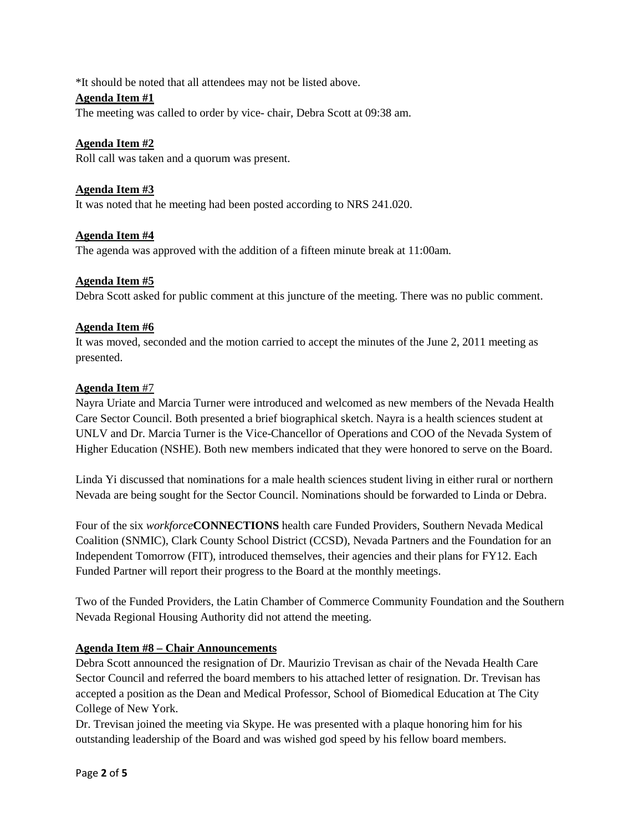\*It should be noted that all attendees may not be listed above.

## **Agenda Item #1**

The meeting was called to order by vice- chair, Debra Scott at 09:38 am.

## **Agenda Item #2**

Roll call was taken and a quorum was present.

## **Agenda Item #3**

It was noted that he meeting had been posted according to NRS 241.020.

## **Agenda Item #4**

The agenda was approved with the addition of a fifteen minute break at 11:00am.

#### **Agenda Item #5**

Debra Scott asked for public comment at this juncture of the meeting. There was no public comment.

## **Agenda Item #6**

It was moved, seconded and the motion carried to accept the minutes of the June 2, 2011 meeting as presented.

#### **Agenda Item** #7

Nayra Uriate and Marcia Turner were introduced and welcomed as new members of the Nevada Health Care Sector Council. Both presented a brief biographical sketch. Nayra is a health sciences student at UNLV and Dr. Marcia Turner is the Vice-Chancellor of Operations and COO of the Nevada System of Higher Education (NSHE). Both new members indicated that they were honored to serve on the Board.

Linda Yi discussed that nominations for a male health sciences student living in either rural or northern Nevada are being sought for the Sector Council. Nominations should be forwarded to Linda or Debra.

Four of the six *workforce***CONNECTIONS** health care Funded Providers, Southern Nevada Medical Coalition (SNMIC), Clark County School District (CCSD), Nevada Partners and the Foundation for an Independent Tomorrow (FIT), introduced themselves, their agencies and their plans for FY12. Each Funded Partner will report their progress to the Board at the monthly meetings.

Two of the Funded Providers, the Latin Chamber of Commerce Community Foundation and the Southern Nevada Regional Housing Authority did not attend the meeting.

# **Agenda Item #8 – Chair Announcements**

Debra Scott announced the resignation of Dr. Maurizio Trevisan as chair of the Nevada Health Care Sector Council and referred the board members to his attached letter of resignation. Dr. Trevisan has accepted a position as the Dean and Medical Professor, School of Biomedical Education at The City College of New York.

Dr. Trevisan joined the meeting via Skype. He was presented with a plaque honoring him for his outstanding leadership of the Board and was wished god speed by his fellow board members.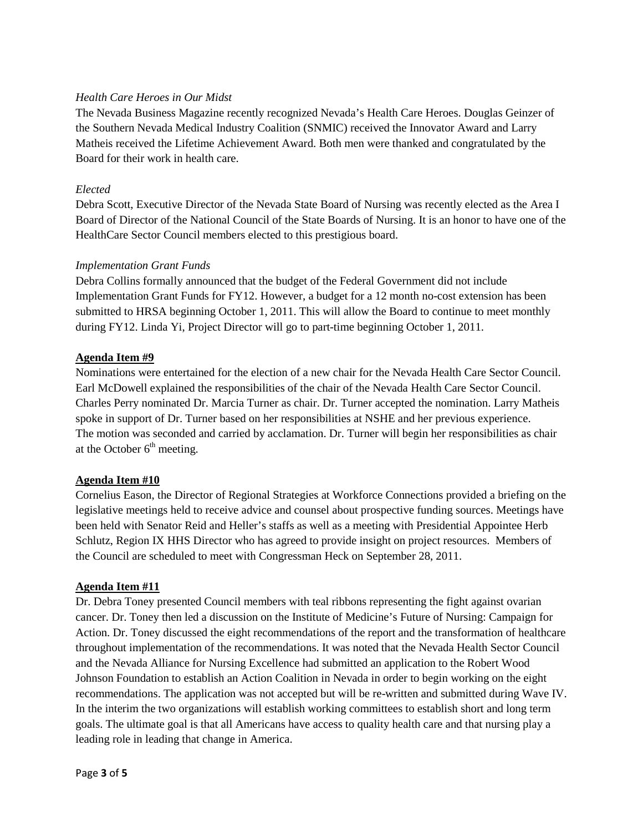## *Health Care Heroes in Our Midst*

The Nevada Business Magazine recently recognized Nevada's Health Care Heroes. Douglas Geinzer of the Southern Nevada Medical Industry Coalition (SNMIC) received the Innovator Award and Larry Matheis received the Lifetime Achievement Award. Both men were thanked and congratulated by the Board for their work in health care.

## *Elected*

Debra Scott, Executive Director of the Nevada State Board of Nursing was recently elected as the Area I Board of Director of the National Council of the State Boards of Nursing. It is an honor to have one of the HealthCare Sector Council members elected to this prestigious board.

#### *Implementation Grant Funds*

Debra Collins formally announced that the budget of the Federal Government did not include Implementation Grant Funds for FY12. However, a budget for a 12 month no-cost extension has been submitted to HRSA beginning October 1, 2011. This will allow the Board to continue to meet monthly during FY12. Linda Yi, Project Director will go to part-time beginning October 1, 2011.

## **Agenda Item #9**

Nominations were entertained for the election of a new chair for the Nevada Health Care Sector Council. Earl McDowell explained the responsibilities of the chair of the Nevada Health Care Sector Council. Charles Perry nominated Dr. Marcia Turner as chair. Dr. Turner accepted the nomination. Larry Matheis spoke in support of Dr. Turner based on her responsibilities at NSHE and her previous experience. The motion was seconded and carried by acclamation. Dr. Turner will begin her responsibilities as chair at the October  $6<sup>th</sup>$  meeting.

#### **Agenda Item #10**

Cornelius Eason, the Director of Regional Strategies at Workforce Connections provided a briefing on the legislative meetings held to receive advice and counsel about prospective funding sources. Meetings have been held with Senator Reid and Heller's staffs as well as a meeting with Presidential Appointee Herb Schlutz, Region IX HHS Director who has agreed to provide insight on project resources. Members of the Council are scheduled to meet with Congressman Heck on September 28, 2011.

#### **Agenda Item #11**

Dr. Debra Toney presented Council members with teal ribbons representing the fight against ovarian cancer. Dr. Toney then led a discussion on the Institute of Medicine's Future of Nursing: Campaign for Action. Dr. Toney discussed the eight recommendations of the report and the transformation of healthcare throughout implementation of the recommendations. It was noted that the Nevada Health Sector Council and the Nevada Alliance for Nursing Excellence had submitted an application to the Robert Wood Johnson Foundation to establish an Action Coalition in Nevada in order to begin working on the eight recommendations. The application was not accepted but will be re-written and submitted during Wave IV. In the interim the two organizations will establish working committees to establish short and long term goals. The ultimate goal is that all Americans have access to quality health care and that nursing play a leading role in leading that change in America.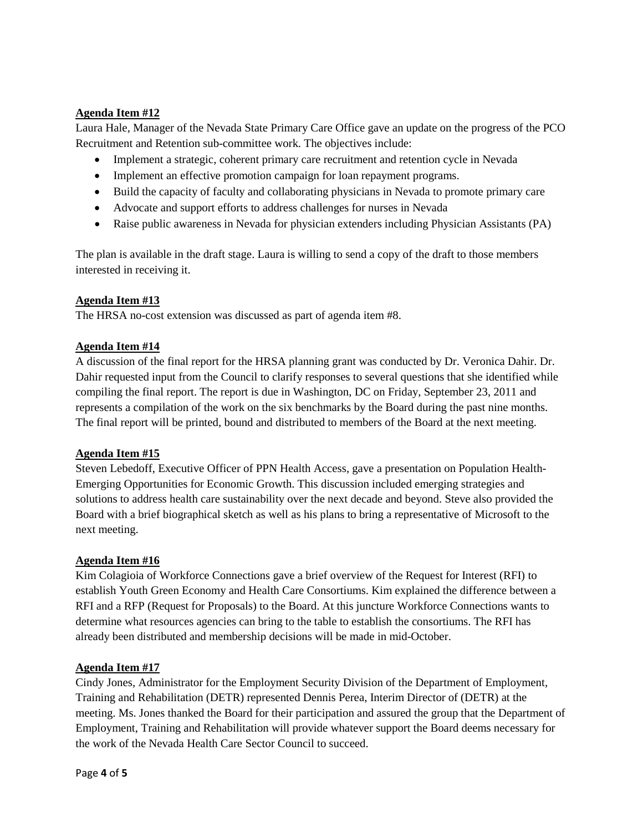## **Agenda Item #12**

Laura Hale, Manager of the Nevada State Primary Care Office gave an update on the progress of the PCO Recruitment and Retention sub-committee work. The objectives include:

- Implement a strategic, coherent primary care recruitment and retention cycle in Nevada
- Implement an effective promotion campaign for loan repayment programs.
- Build the capacity of faculty and collaborating physicians in Nevada to promote primary care
- Advocate and support efforts to address challenges for nurses in Nevada
- Raise public awareness in Nevada for physician extenders including Physician Assistants (PA)

The plan is available in the draft stage. Laura is willing to send a copy of the draft to those members interested in receiving it.

#### **Agenda Item #13**

The HRSA no-cost extension was discussed as part of agenda item #8.

#### **Agenda Item #14**

A discussion of the final report for the HRSA planning grant was conducted by Dr. Veronica Dahir. Dr. Dahir requested input from the Council to clarify responses to several questions that she identified while compiling the final report. The report is due in Washington, DC on Friday, September 23, 2011 and represents a compilation of the work on the six benchmarks by the Board during the past nine months. The final report will be printed, bound and distributed to members of the Board at the next meeting.

#### **Agenda Item #15**

Steven Lebedoff, Executive Officer of PPN Health Access, gave a presentation on Population Health-Emerging Opportunities for Economic Growth. This discussion included emerging strategies and solutions to address health care sustainability over the next decade and beyond. Steve also provided the Board with a brief biographical sketch as well as his plans to bring a representative of Microsoft to the next meeting.

#### **Agenda Item #16**

Kim Colagioia of Workforce Connections gave a brief overview of the Request for Interest (RFI) to establish Youth Green Economy and Health Care Consortiums. Kim explained the difference between a RFI and a RFP (Request for Proposals) to the Board. At this juncture Workforce Connections wants to determine what resources agencies can bring to the table to establish the consortiums. The RFI has already been distributed and membership decisions will be made in mid-October.

#### **Agenda Item #17**

Cindy Jones, Administrator for the Employment Security Division of the Department of Employment, Training and Rehabilitation (DETR) represented Dennis Perea, Interim Director of (DETR) at the meeting. Ms. Jones thanked the Board for their participation and assured the group that the Department of Employment, Training and Rehabilitation will provide whatever support the Board deems necessary for the work of the Nevada Health Care Sector Council to succeed.